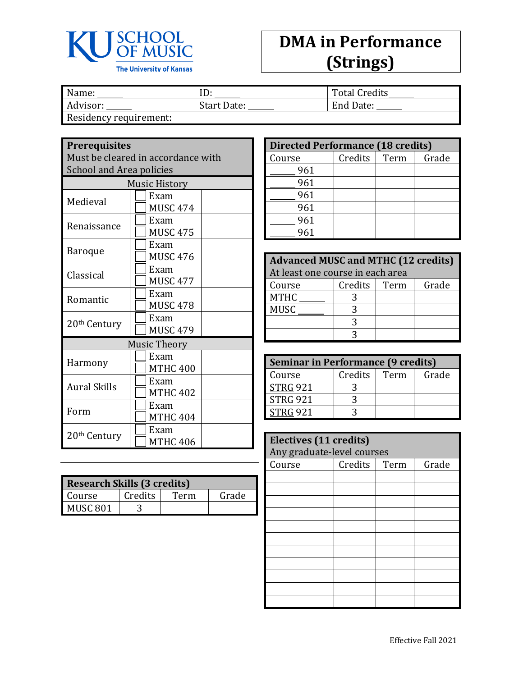

## **DMA in Performance (Strings)**

| Name:                  | ID          | <b>Total Credits</b> |
|------------------------|-------------|----------------------|
| Advisor:               | Start Date: | End Date:            |
| Residency requirement: |             |                      |

**Prerequisites**

Must be cleared in accordance with School and Area policies

| <b>Music History</b> |                         |  |  |
|----------------------|-------------------------|--|--|
| Medieval             | Exam<br>MUSC 474        |  |  |
| Renaissance          | Exam<br><b>MUSC 475</b> |  |  |
| Baroque              | Exam<br><b>MUSC 476</b> |  |  |
| Classical            | Exam<br><b>MUSC 477</b> |  |  |
| Romantic             | Exam<br><b>MUSC 478</b> |  |  |
| 20th Century         | Exam<br><b>MUSC 479</b> |  |  |
|                      | <b>Music Theory</b>     |  |  |
| Harmony              | Exam<br><b>MTHC 400</b> |  |  |
| <b>Aural Skills</b>  | Exam<br><b>MTHC 402</b> |  |  |
| Form                 | Exam<br><b>MTHC 404</b> |  |  |
| 20th Century         | Exam<br><b>MTHC 406</b> |  |  |

| <b>Research Skills (3 credits)</b> |         |      |       |  |
|------------------------------------|---------|------|-------|--|
| Course                             | Credits | Term | Grade |  |
| MUSC <sub>801</sub>                |         |      |       |  |

| <b>Directed Performance (18 credits)</b> |         |      |       |  |  |
|------------------------------------------|---------|------|-------|--|--|
| Course                                   | Credits | Term | Grade |  |  |
| 961                                      |         |      |       |  |  |
| 961                                      |         |      |       |  |  |
| 961                                      |         |      |       |  |  |
| 961                                      |         |      |       |  |  |
| 961                                      |         |      |       |  |  |
| 961                                      |         |      |       |  |  |

| <b>Advanced MUSC and MTHC (12 credits)</b> |                          |  |  |  |  |
|--------------------------------------------|--------------------------|--|--|--|--|
| At least one course in each area           |                          |  |  |  |  |
| Course                                     | Credits<br>Grade<br>Term |  |  |  |  |
| <b>MTHC</b>                                |                          |  |  |  |  |
| <b>MUSC</b>                                |                          |  |  |  |  |
|                                            |                          |  |  |  |  |
|                                            |                          |  |  |  |  |

| <b>Seminar in Performance (9 credits)</b> |                |  |       |  |
|-------------------------------------------|----------------|--|-------|--|
| Course                                    | Credits   Term |  | Grade |  |
| <b>STRG 921</b>                           |                |  |       |  |
| <b>STRG 921</b>                           |                |  |       |  |
| <b>STRG 921</b>                           |                |  |       |  |

| Electives (11 credits)<br>Any graduate-level courses |                          |  |  |  |  |
|------------------------------------------------------|--------------------------|--|--|--|--|
| Course                                               | Credits<br>Grade<br>Term |  |  |  |  |
|                                                      |                          |  |  |  |  |
|                                                      |                          |  |  |  |  |
|                                                      |                          |  |  |  |  |
|                                                      |                          |  |  |  |  |
|                                                      |                          |  |  |  |  |
|                                                      |                          |  |  |  |  |
|                                                      |                          |  |  |  |  |
|                                                      |                          |  |  |  |  |
|                                                      |                          |  |  |  |  |
|                                                      |                          |  |  |  |  |
|                                                      |                          |  |  |  |  |